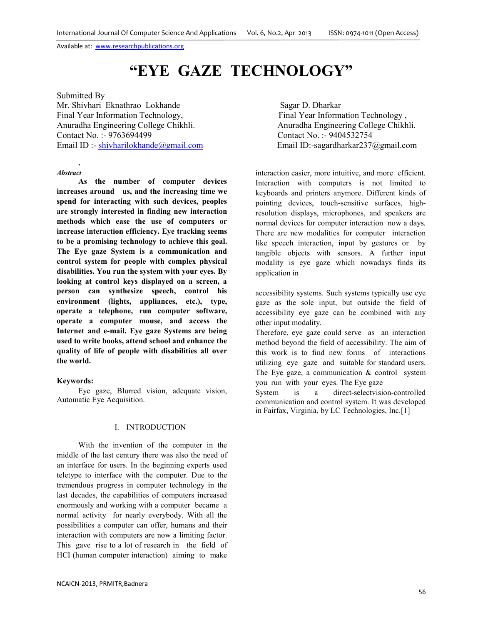# **"EYE GAZE TECHNOLOGY"**

## Submitted By

Mr. Shivhari Eknathrao Lokhande Sagar D. Dharkar Final Year Information Technology, Final Year Information Technology, Anuradha Engineering College Chikhli. Anuradha Engineering College Chikhli. Contact No. :- 9763694499 Contact No. :- 9404532754 Email ID :- shivharilokhande@gmail.com Email ID:-sagardharkar237@gmail.com

#### *Abstract*

**.** 

**As the number of computer devices increases around us, and the increasing time we spend for interacting with such devices, peoples are strongly interested in finding new interaction methods which ease the use of computers or increase interaction efficiency. Eye tracking seems to be a promising technology to achieve this goal. The Eye gaze System is a communication and control system for people with complex physical disabilities. You run the system with your eyes. By looking at control keys displayed on a screen, a person can synthesize speech, control his environment (lights, appliances, etc.), type, operate a telephone, run computer software, operate a computer mouse, and access the Internet and e-mail. Eye gaze Systems are being used to write books, attend school and enhance the quality of life of people with disabilities all over the world.** 

### **Keywords:**

Eye gaze, Blurred vision, adequate vision, Automatic Eye Acquisition.

### I. INTRODUCTION

With the invention of the computer in the middle of the last century there was also the need of an interface for users. In the beginning experts used teletype to interface with the computer. Due to the tremendous progress in computer technology in the last decades, the capabilities of computers increased enormously and working with a computer became a normal activity for nearly everybody. With all the possibilities a computer can offer, humans and their interaction with computers are now a limiting factor. This gave rise to a lot of research in the field of HCI (human computer interaction) aiming to make

interaction easier, more intuitive, and more efficient. Interaction with computers is not limited to keyboards and printers anymore. Different kinds of pointing devices, touch-sensitive surfaces, highresolution displays, microphones, and speakers are normal devices for computer interaction now a days. There are new modalities for computer interaction like speech interaction, input by gestures or by tangible objects with sensors. A further input modality is eye gaze which nowadays finds its application in

accessibility systems. Such systems typically use eye gaze as the sole input, but outside the field of accessibility eye gaze can be combined with any other input modality.

Therefore, eye gaze could serve as an interaction method beyond the field of accessibility. The aim of this work is to find new forms of interactions utilizing eye gaze and suitable for standard users. The Eye gaze, a communication  $&$  control system you run with your eyes. The Eye gaze

System is a direct-selectvision-controlled communication and control system. It was developed in Fairfax, Virginia, by LC Technologies, Inc.[1]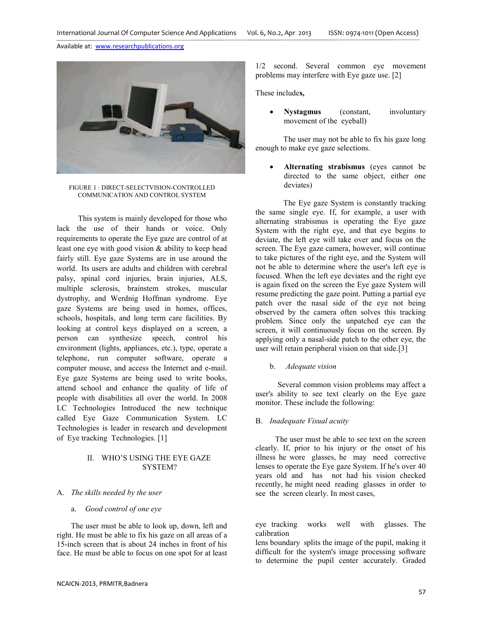

FIGURE 1 : DIRECT-SELECTVISION-CONTROLLED COMMUNICATION AND CONTROL SYSTEM

This system is mainly developed for those who lack the use of their hands or voice. Only requirements to operate the Eye gaze are control of at least one eye with good vision & ability to keep head fairly still. Eye gaze Systems are in use around the world. Its users are adults and children with cerebral palsy, spinal cord injuries, brain injuries, ALS, multiple sclerosis, brainstem strokes, muscular dystrophy, and Werdnig Hoffman syndrome. Eye gaze Systems are being used in homes, offices, schools, hospitals, and long term care facilities. By looking at control keys displayed on a screen, a person can synthesize speech, control his environment (lights, appliances, etc.), type, operate a telephone, run computer software, operate a computer mouse, and access the Internet and e-mail. Eye gaze Systems are being used to write books, attend school and enhance the quality of life of people with disabilities all over the world. In 2008 LC Technologies Introduced the new technique called Eye Gaze Communication System. LC Technologies is leader in research and development of Eye tracking Technologies. [1]

# II. WHO'S USING THE EYE GAZE SYSTEM?

#### A. *The skills needed by the user*

# a. *Good control of one eye*

The user must be able to look up, down, left and right. He must be able to fix his gaze on all areas of a 15-inch screen that is about 24 inches in front of his face. He must be able to focus on one spot for at least 1/2 second. Several common eye movement problems may interfere with Eye gaze use. [2]

These include**s,** 

• **Nystagmus** (constant, involuntary movement of the eyeball)

The user may not be able to fix his gaze long enough to make eye gaze selections.

• **Alternating strabismus** (eyes cannot be directed to the same object, either one deviates)

The Eye gaze System is constantly tracking the same single eye. If, for example, a user with alternating strabismus is operating the Eye gaze System with the right eye, and that eye begins to deviate, the left eye will take over and focus on the screen. The Eye gaze camera, however, will continue to take pictures of the right eye, and the System will not be able to determine where the user's left eye is focused. When the left eye deviates and the right eye is again fixed on the screen the Eye gaze System will resume predicting the gaze point. Putting a partial eye patch over the nasal side of the eye not being observed by the camera often solves this tracking problem. Since only the unpatched eye can the screen, it will continuously focus on the screen. By applying only a nasal-side patch to the other eye, the user will retain peripheral vision on that side.[3]

#### b. *Adequate vision*

 Several common vision problems may affect a user's ability to see text clearly on the Eye gaze monitor. These include the following:

## B. *Inadequate Visual acuity*

 The user must be able to see text on the screen clearly. If, prior to his injury or the onset of his illness he wore glasses, he may need corrective lenses to operate the Eye gaze System. If he's over 40 years old and has not had his vision checked recently, he might need reading glasses in order to see the screen clearly. In most cases,

eye tracking works well with glasses. The calibration

lens boundary splits the image of the pupil, making it difficult for the system's image processing software to determine the pupil center accurately. Graded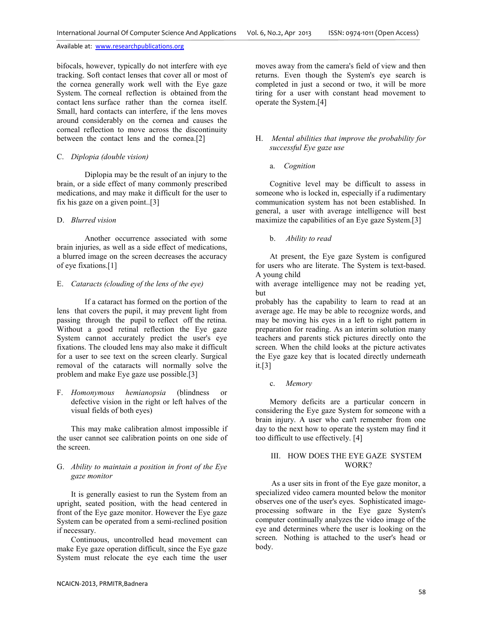bifocals, however, typically do not interfere with eye tracking. Soft contact lenses that cover all or most of the cornea generally work well with the Eye gaze System. The corneal reflection is obtained from the contact lens surface rather than the cornea itself. Small, hard contacts can interfere, if the lens moves around considerably on the cornea and causes the corneal reflection to move across the discontinuity between the contact lens and the cornea.[2]

## C. *Diplopia (double vision)*

Diplopia may be the result of an injury to the brain, or a side effect of many commonly prescribed medications, and may make it difficult for the user to fix his gaze on a given point..[3]

## D. *Blurred vision*

Another occurrence associated with some brain injuries, as well as a side effect of medications, a blurred image on the screen decreases the accuracy of eye fixations.[1]

## E. *Cataracts (clouding of the lens of the eye)*

If a cataract has formed on the portion of the lens that covers the pupil, it may prevent light from passing through the pupil to reflect off the retina. Without a good retinal reflection the Eye gaze System cannot accurately predict the user's eye fixations. The clouded lens may also make it difficult for a user to see text on the screen clearly. Surgical removal of the cataracts will normally solve the problem and make Eye gaze use possible.[3]

F. *Homonymous hemianopsia* (blindness or defective vision in the right or left halves of the visual fields of both eyes)

This may make calibration almost impossible if the user cannot see calibration points on one side of the screen.

## G. *Ability to maintain a position in front of the Eye gaze monitor*

It is generally easiest to run the System from an upright, seated position, with the head centered in front of the Eye gaze monitor. However the Eye gaze System can be operated from a semi-reclined position if necessary.

Continuous, uncontrolled head movement can make Eye gaze operation difficult, since the Eye gaze System must relocate the eye each time the user

moves away from the camera's field of view and then returns. Even though the System's eye search is completed in just a second or two, it will be more tiring for a user with constant head movement to operate the System.[4]

## H. *Mental abilities that improve the probability for successful Eye gaze use*

a. *Cognition* 

Cognitive level may be difficult to assess in someone who is locked in, especially if a rudimentary communication system has not been established. In general, a user with average intelligence will best maximize the capabilities of an Eye gaze System.[3]

## b. *Ability to read*

At present, the Eye gaze System is configured for users who are literate. The System is text-based. A young child

with average intelligence may not be reading yet, but

probably has the capability to learn to read at an average age. He may be able to recognize words, and may be moving his eyes in a left to right pattern in preparation for reading. As an interim solution many teachers and parents stick pictures directly onto the screen. When the child looks at the picture activates the Eye gaze key that is located directly underneath it.[3]

c. *Memory* 

Memory deficits are a particular concern in considering the Eye gaze System for someone with a brain injury. A user who can't remember from one day to the next how to operate the system may find it too difficult to use effectively. [4]

## III. HOW DOES THE EYE GAZE SYSTEM WORK?

 As a user sits in front of the Eye gaze monitor, a specialized video camera mounted below the monitor observes one of the user's eyes. Sophisticated imageprocessing software in the Eye gaze System's computer continually analyzes the video image of the eye and determines where the user is looking on the screen. Nothing is attached to the user's head or body.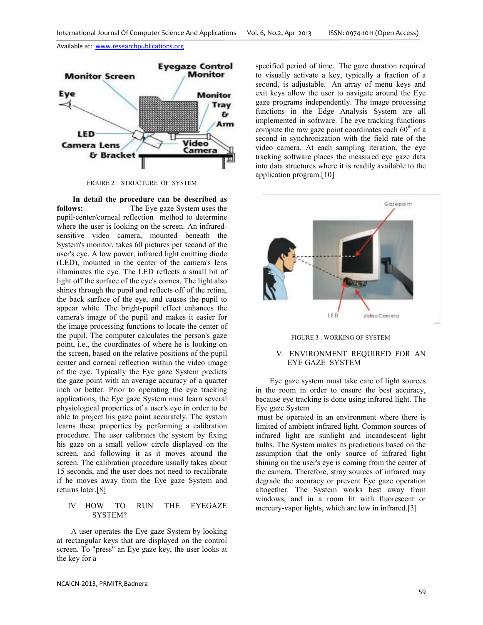

FIGURE 2 : STRUCTURE OF SYSTEM

 **In detail the procedure can be described as follows:** The Eye gaze System uses the pupil-center/corneal reflection method to determine where the user is looking on the screen. An infraredsensitive video camera, mounted beneath the System's monitor, takes 60 pictures per second of the user's eye. A low power, infrared light emitting diode (LED), mounted in the center of the camera's lens illuminates the eye. The LED reflects a small bit of light off the surface of the eye's cornea. The light also shines through the pupil and reflects off of the retina, the back surface of the eye, and causes the pupil to appear white. The bright-pupil effect enhances the camera's image of the pupil and makes it easier for the image processing functions to locate the center of the pupil. The computer calculates the person's gaze point, i.e., the coordinates of where he is looking on the screen, based on the relative positions of the pupil center and corneal reflection within the video image of the eye. Typically the Eye gaze System predicts the gaze point with an average accuracy of a quarter inch or better. Prior to operating the eye tracking applications, the Eye gaze System must learn several physiological properties of a user's eye in order to be able to project his gaze point accurately. The system learns these properties by performing a calibration procedure. The user calibrates the system by fixing his gaze on a small yellow circle displayed on the screen, and following it as it moves around the screen. The calibration procedure usually takes about 15 seconds, and the user does not need to recalibrate if he moves away from the Eye gaze System and returns later.[8]

#### IV. HOW TO RUN THE EYEGAZE SYSTEM?

A user operates the Eye gaze System by looking at rectangular keys that are displayed on the control screen. To "press" an Eye gaze key, the user looks at the key for a

specified period of time. The gaze duration required to visually activate a key, typically a fraction of a second, is adjustable. An array of menu keys and exit keys allow the user to navigate around the Eye gaze programs independently. The image processing functions in the Edge Analysis System are all implemented in software. The eye tracking functions compute the raw gaze point coordinates each  $60<sup>th</sup>$  of a second in synchronization with the field rate of the video camera. At each sampling iteration, the eye tracking software places the measured eye gaze data into data structures where it is readily available to the application program.[10]



#### FIGURE 3 : WORKING OF SYSTEM

### V. ENVIRONMENT REQUIRED FOR AN EYE GAZE SYSTEM

Eye gaze system must take care of light sources in the room in order to ensure the best accuracy, because eye tracking is done using infrared light. The Eye gaze System

 must be operated in an environment where there is limited of ambient infrared light. Common sources of infrared light are sunlight and incandescent light bulbs. The System makes its predictions based on the assumption that the only source of infrared light shining on the user's eye is coming from the center of the camera. Therefore, stray sources of infrared may degrade the accuracy or prevent Eye gaze operation altogether. The System works best away from windows, and in a room lit with fluorescent or mercury-vapor lights, which are low in infrared.[3]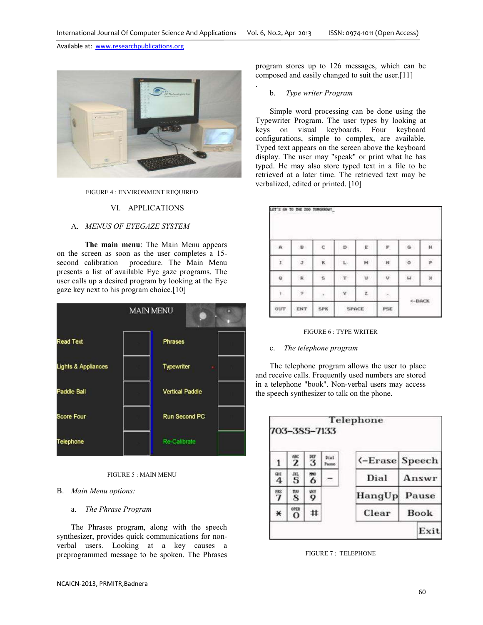.

Available at: www.researchpublications.org



#### FIGURE 4 : ENVIRONMENT REQUIRED

## VI. APPLICATIONS

## A. *MENUS OF EYEGAZE SYSTEM*

**The main menu**: The Main Menu appears on the screen as soon as the user completes a 15 second calibration procedure. The Main Menu presents a list of available Eye gaze programs. The user calls up a desired program by looking at the Eye gaze key next to his program choice.[10]

| <b>MAIN MENU</b>               |  |                        |  |  |  |  |  |  |  |
|--------------------------------|--|------------------------|--|--|--|--|--|--|--|
| <b>Read Text</b>               |  | <b>Phrases</b>         |  |  |  |  |  |  |  |
| <b>Lights &amp; Appliances</b> |  | Typewriter<br>f        |  |  |  |  |  |  |  |
| Paddle Ball                    |  | <b>Vertical Paddle</b> |  |  |  |  |  |  |  |
| Score Four                     |  | Run Second PC          |  |  |  |  |  |  |  |
| Telephone                      |  | Re-Calibrate           |  |  |  |  |  |  |  |

#### FIGURE 5 : MAIN MENU

#### B. *Main Menu options:*

## a. *The Phrase Program*

The Phrases program, along with the speech synthesizer, provides quick communications for nonverbal users. Looking at a key causes a preprogrammed message to be spoken. The Phrases

program stores up to 126 messages, which can be composed and easily changed to suit the user.[11]

#### b. *Type writer Program*

Simple word processing can be done using the Typewriter Program. The user types by looking at keys on visual keyboards. Four keyboard configurations, simple to complex, are available. Typed text appears on the screen above the keyboard display. The user may "speak" or print what he has typed. He may also store typed text in a file to be retrieved at a later time. The retrieved text may be verbalized, edited or printed. [10]

| $\alpha$     | B.           | ¢          | D                         | E) | $\mathbb F$ | G       | Ĥ. |
|--------------|--------------|------------|---------------------------|----|-------------|---------|----|
| r            | $\mathbb J$  | ĸ          | $\mathbf{L}_{\mathrm{c}}$ | M  | $_{\rm N}$  | $\circ$ | p  |
| q            | $\mathbb{R}$ | s          | $\mathbb{T}$              | u  | v           | w       | ×  |
| $\mathbf{L}$ | $\mathbf{2}$ | ×,         | Y                         | ż  | 走           | <-BACK  |    |
| OUT          | ENT          | <b>SPK</b> | SPACE                     |    | <b>PSE</b>  |         |    |

#### FIGURE 6 : TYPE WRITER

#### c. *The telephone program*

The telephone program allows the user to place and receive calls. Frequently used numbers are stored in a telephone "book". Non-verbal users may access the speech synthesizer to talk on the phone.



FIGURE 7 : TELEPHONE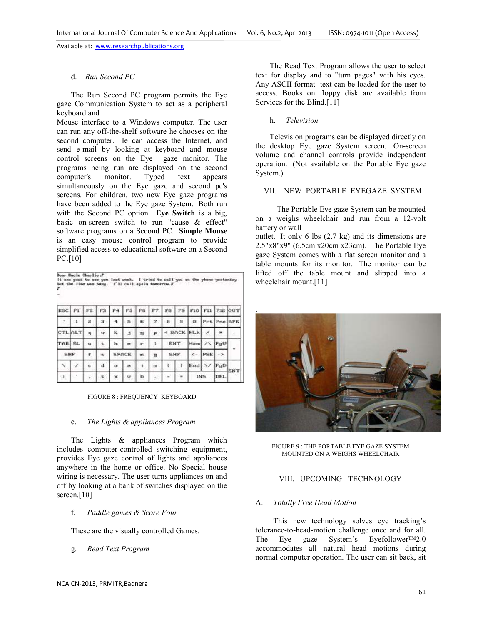## d. *Run Second PC*

The Run Second PC program permits the Eye gaze Communication System to act as a peripheral keyboard and

Mouse interface to a Windows computer. The user can run any off-the-shelf software he chooses on the second computer. He can access the Internet, and send e-mail by looking at keyboard and mouse control screens on the Eye gaze monitor. The programs being run are displayed on the second computer's monitor. Typed text appears simultaneously on the Eye gaze and second pc's screens. For children, two new Eye gaze programs have been added to the Eye gaze System. Both run with the Second PC option. **Eye Switch** is a big, basic on-screen switch to run "cause & effect" software programs on a Second PC. **Simple Mouse** is an easy mouse control program to provide simplified access to educational software on a Second PC.[10]

|                | bear Uncle Charlie.F<br>It was good to see you last week.<br>but the line was busy. |     |             |         |                          |    |            | I'll call again tomorrow.F |    | I tried to call you on the phone yesterday |              |               |                |
|----------------|-------------------------------------------------------------------------------------|-----|-------------|---------|--------------------------|----|------------|----------------------------|----|--------------------------------------------|--------------|---------------|----------------|
| ESC            | FI                                                                                  | F2  | F3          |         | ٣B                       | F6 |            | FB                         | F9 | F10                                        | F11          |               | <b>F12 OUT</b> |
| $\mathbf{x}$ . | 1                                                                                   | a   | з           |         | 5                        | 6  | 7          | 8                          | а  | $\Omega$                                   |              | Prt Pse SPK   |                |
|                | <b>CTL</b> ALT                                                                      | q   | zo.         | k.      | $\mathbf{1}$             | u  | P          | <-BACK NLk                 |    |                                            | v            |               |                |
| TABI SL        |                                                                                     | N.W | t           | b.      | $\blacksquare$           | ¥. | ٠          | ENT                        |    | Hom                                        |              | PuU           |                |
| <b>SHF</b>     |                                                                                     | £   |             |         | <b>SPACE</b>             | n  | 盘          | <b>SHF</b>                 |    | $\leftarrow$                               | PSE          | $\rightarrow$ |                |
| $\lambda$      | v                                                                                   | c   | $\mathbf d$ | $\circ$ | $\overline{\phantom{a}}$ | s. | <b>YES</b> | ť                          | -3 | Erad                                       | $\checkmark$ | PgD           |                |
| -2             |                                                                                     |     | z           | ×       | v                        | ь  |            |                            |    | <b>INS</b>                                 |              | DEL           | ENT            |

FIGURE 8 : FREQUENCY KEYBOARD

### e. *The Lights & appliances Program*

The Lights & appliances Program which includes computer-controlled switching equipment, provides Eye gaze control of lights and appliances anywhere in the home or office. No Special house wiring is necessary. The user turns appliances on and off by looking at a bank of switches displayed on the screen.[10]

f. *Paddle games & Score Four* 

These are the visually controlled Games.

g. *Read Text Program* 

The Read Text Program allows the user to select text for display and to "turn pages" with his eyes. Any ASCII format text can be loaded for the user to access. Books on floppy disk are available from Services for the Blind.[11]

# h. *Television*

.

Television programs can be displayed directly on the desktop Eye gaze System screen. On-screen volume and channel controls provide independent operation. (Not available on the Portable Eye gaze System.)

## VII. NEW PORTABLE EYEGAZE SYSTEM

The Portable Eye gaze System can be mounted on a weighs wheelchair and run from a 12-volt battery or wall

outlet. It only 6 lbs (2.7 kg) and its dimensions are 2.5"x8"x9" (6.5cm x20cm x23cm). The Portable Eye gaze System comes with a flat screen monitor and a table mounts for its monitor. The monitor can be lifted off the table mount and slipped into a wheelchair mount.[11]

FIGURE 9 : THE PORTABLE EYE GAZE SYSTEM

# MOUNTED ON A WEIGHS WHEELCHAIR

# VIII. UPCOMING TECHNOLOGY

# A. *Totally Free Head Motion*

This new technology solves eye tracking's tolerance-to-head-motion challenge once and for all. The Eye gaze System's Eyefollower™2.0 accommodates all natural head motions during normal computer operation. The user can sit back, sit

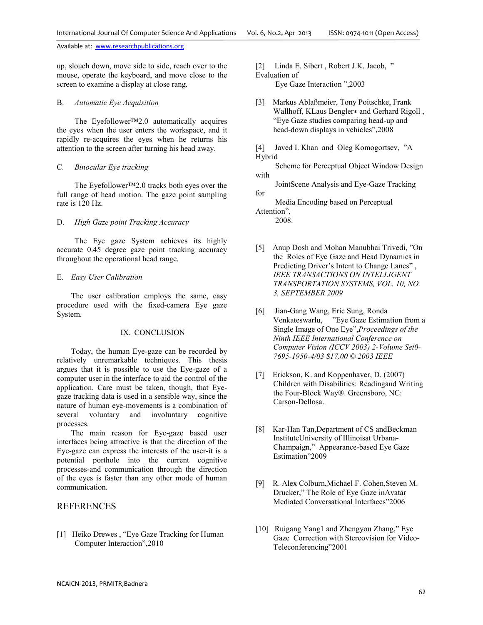up, slouch down, move side to side, reach over to the mouse, operate the keyboard, and move close to the screen to examine a display at close rang.

#### B. *Automatic Eye Acquisition*

The Eyefollower™2.0 automatically acquires the eyes when the user enters the workspace, and it rapidly re-acquires the eyes when he returns his attention to the screen after turning his head away.

#### C. *Binocular Eye tracking*

The Eyefollower™2.0 tracks both eyes over the full range of head motion. The gaze point sampling rate is 120 Hz.

#### D. *High Gaze point Tracking Accuracy*

The Eye gaze System achieves its highly accurate 0.45 degree gaze point tracking accuracy throughout the operational head range.

#### E. *Easy User Calibration*

The user calibration employs the same, easy procedure used with the fixed-camera Eye gaze System.

#### IX. CONCLUSION

Today, the human Eye-gaze can be recorded by relatively unremarkable techniques. This thesis argues that it is possible to use the Eye-gaze of a computer user in the interface to aid the control of the application. Care must be taken, though, that Eyegaze tracking data is used in a sensible way, since the nature of human eye-movements is a combination of several voluntary and involuntary cognitive processes.

The main reason for Eye-gaze based user interfaces being attractive is that the direction of the Eye-gaze can express the interests of the user-it is a potential porthole into the current cognitive processes-and communication through the direction of the eyes is faster than any other mode of human communication.

## REFERENCES

[1] Heiko Drewes , "Eye Gaze Tracking for Human Computer Interaction",2010

[2] Linda E. Sibert, Robert J.K. Jacob, " Evaluation of

Eye Gaze Interaction ",2003

[3] Markus Ablaßmeier, Tony Poitschke, Frank Wallhoff, KLaus Bengler∗ and Gerhard Rigoll , "Eye Gaze studies comparing head-up and head-down displays in vehicles",2008

[4] Javed I. Khan and Oleg Komogortsev, "A Hybrid

 Scheme for Perceptual Object Window Design with

 JointScene Analysis and Eye-Gaze Tracking for

 Media Encoding based on Perceptual Attention",

2008.

- [5] Anup Dosh and Mohan Manubhai Trivedi, "On the Roles of Eye Gaze and Head Dynamics in Predicting Driver's Intent to Change Lanes" , *IEEE TRANSACTIONS ON INTELLIGENT TRANSPORTATION SYSTEMS, VOL. 10, NO. 3, SEPTEMBER 2009*
- [6] Jian-Gang Wang, Eric Sung, Ronda Venkateswarlu, "Eye Gaze Estimation from a Single Image of One Eye",*Proceedings of the Ninth IEEE International Conference on Computer Vision (ICCV 2003) 2-Volume Set0- 7695-1950-4/03 \$17.00 © 2003 IEEE*
- [7] Erickson, K. and Koppenhaver, D. (2007) Children with Disabilities: Readingand Writing the Four-Block Way®. Greensboro, NC: Carson-Dellosa.
- [8] Kar-Han Tan, Department of CS and Beckman InstituteUniversity of Illinoisat Urbana-Champaign," Appearance-based Eye Gaze Estimation"2009
- [9]R. Alex Colburn,Michael F. Cohen,Steven M. Drucker," The Role of Eye Gaze inAvatar Mediated Conversational Interfaces"2006
- [10] Ruigang Yang1 and Zhengyou Zhang," Eye Gaze Correction with Stereovision for Video-Teleconferencing"2001